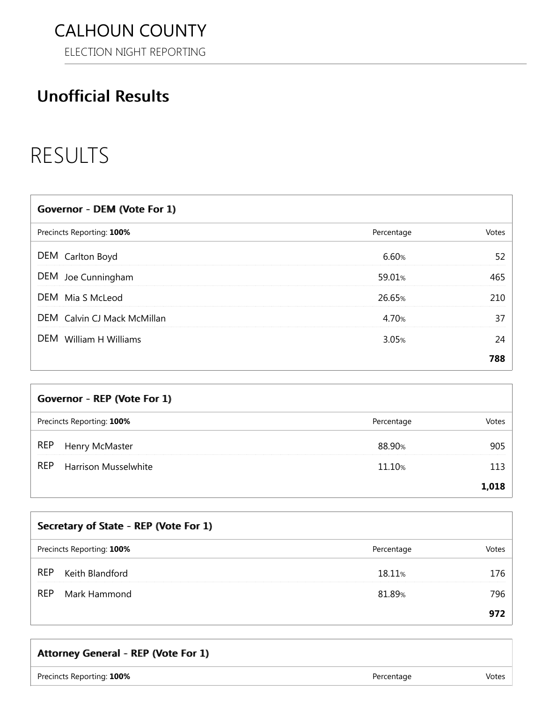# CALHOUN COUNTY

ELECTION NIGHT REPORTING

#### Unofficial Results

### RESULTS

| Governor - DEM (Vote For 1) |            |       |
|-----------------------------|------------|-------|
| Precincts Reporting: 100%   | Percentage | Votes |
| DEM Carlton Boyd            | 6.60%      | 52    |
| DEM Joe Cunningham          | 59.01%     | 465   |
| DEM Mia S McLeod            | 26.65%     | 210   |
| DEM Calvin CJ Mack McMillan | 4.70%      | 37    |
| William H Williams<br>DEM   | 3.05%      | 24    |
|                             |            | 788   |

| Governor - REP (Vote For 1)               |            |       |
|-------------------------------------------|------------|-------|
| Precincts Reporting: 100%                 | Percentage | Votes |
| <b>REP</b><br>Henry McMaster              | 88.90%     | 905   |
| <b>REP</b><br><b>Harrison Musselwhite</b> | 11.10%     | 113   |
|                                           |            | 1,018 |

| Secretary of State - REP (Vote For 1) |            |       |
|---------------------------------------|------------|-------|
| Precincts Reporting: 100%             | Percentage | Votes |
| <b>REP</b><br>Keith Blandford         | 18.11%     | 176   |
| <b>REP</b><br>Mark Hammond            | 81.89%     | 796   |
|                                       |            | 972   |

### Attorney General - REP (Vote For 1) Precincts Reporting: 100% **Percentage** Votes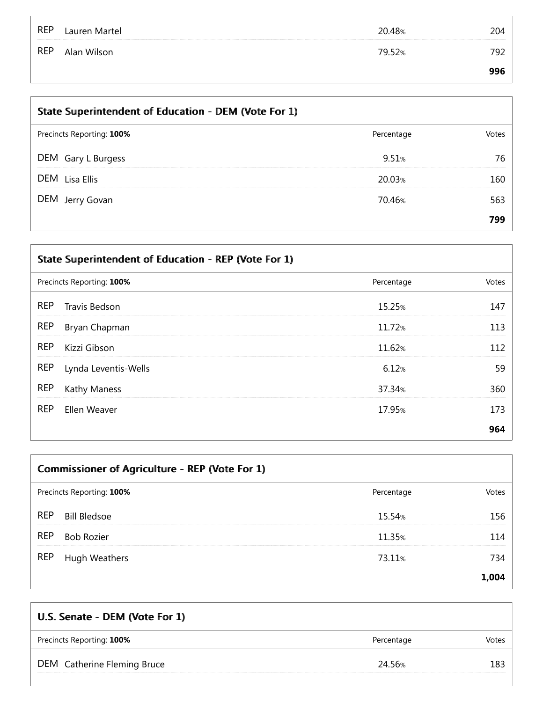| REP Lauren Martel | 20.48% | 204 |
|-------------------|--------|-----|
| REP Alan Wilson   | 79.52% | 792 |
|                   |        | 996 |

| State Superintendent of Education - DEM (Vote For 1) |            |       |
|------------------------------------------------------|------------|-------|
| Precincts Reporting: 100%                            | Percentage | Votes |
| DEM Gary L Burgess                                   | 9.51%      | 76    |
| DEM<br>Lisa Ellis                                    | 20.03%     | 160   |
| DEM Jerry Govan                                      | 70.46%     | 563   |
|                                                      |            | 799   |

| State Superintendent of Education - REP (Vote For 1) |                           |            |       |
|------------------------------------------------------|---------------------------|------------|-------|
|                                                      | Precincts Reporting: 100% | Percentage | Votes |
| <b>REP</b>                                           | <b>Travis Bedson</b>      | 15.25%     | 147   |
| <b>REP</b>                                           | Bryan Chapman             | 11.72%     | 113   |
| <b>REP</b>                                           | Kizzi Gibson              | 11.62%     | 112   |
| <b>REP</b>                                           | Lynda Leventis-Wells      | 6.12%      | 59    |
| <b>REP</b>                                           | Kathy Maness              | 37.34%     | 360   |
| <b>REP</b>                                           | Ellen Weaver              | 17.95%     | 173   |
|                                                      |                           |            | 964   |

|            | <b>Commissioner of Agriculture - REP (Vote For 1)</b> |            |       |
|------------|-------------------------------------------------------|------------|-------|
|            | Precincts Reporting: 100%                             | Percentage | Votes |
| <b>REP</b> | <b>Bill Bledsoe</b>                                   | 15.54%     | 156   |
| <b>REP</b> | <b>Bob Rozier</b>                                     | 11.35%     | 114   |
| <b>REP</b> | Hugh Weathers                                         | 73.11%     | 734   |
|            |                                                       |            | 1,004 |

| U.S. Senate - DEM (Vote For 1) |            |       |
|--------------------------------|------------|-------|
| Precincts Reporting: 100%      | Percentage | Votes |
| DEM Catherine Fleming Bruce    | 24.56%     | 183   |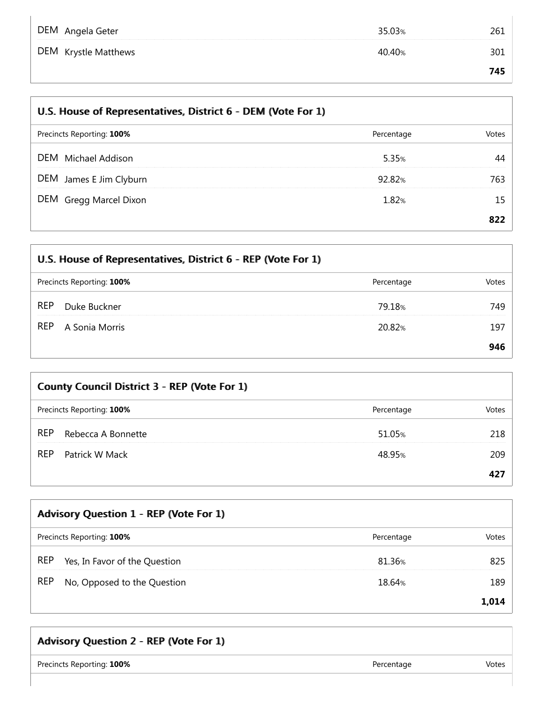| DEM Angela Geter     | 35.03% | 261 |
|----------------------|--------|-----|
| DEM Krystle Matthews | 40.40% | 301 |
|                      |        | 745 |

| U.S. House of Representatives, District 6 - DEM (Vote For 1) |            |       |
|--------------------------------------------------------------|------------|-------|
| Precincts Reporting: 100%                                    | Percentage | Votes |
| DEM.<br>Michael Addison                                      | 5.35%      | 44    |
| DEM<br>James E Jim Clyburn                                   | 92.82%     | 763   |
| DEM Gregg Marcel Dixon                                       | 1.82%      | 15    |
|                                                              |            | 822   |

| U.S. House of Representatives, District 6 - REP (Vote For 1) |            |       |
|--------------------------------------------------------------|------------|-------|
| Precincts Reporting: 100%                                    | Percentage | Votes |
| <b>REP</b><br>Duke Buckner                                   | 79.18%     | 749   |
| <b>REP</b><br>A Sonia Morris                                 | 20.82%     | 197   |
|                                                              |            | 946   |

| <b>County Council District 3 - REP (Vote For 1)</b> |            |       |
|-----------------------------------------------------|------------|-------|
| Precincts Reporting: 100%                           | Percentage | Votes |
| <b>REP</b><br>Rebecca A Bonnette                    | 51.05%     | 218   |
| <b>REP</b><br>Patrick W Mack                        | 48.95%     | 209   |
|                                                     |            | 427   |

| <b>Advisory Question 1 - REP (Vote For 1)</b> |        |       |  |
|-----------------------------------------------|--------|-------|--|
| Precincts Reporting: 100%<br>Percentage       |        | Votes |  |
| <b>REP</b><br>Yes, In Favor of the Question   | 81.36% | 825   |  |
| <b>REP</b><br>No, Opposed to the Question     | 18.64% | 189   |  |
|                                               |        | 1,014 |  |

## Advisory Question 2 - REP (Vote For 1) Precincts Reporting: 100% **Percentage** Votes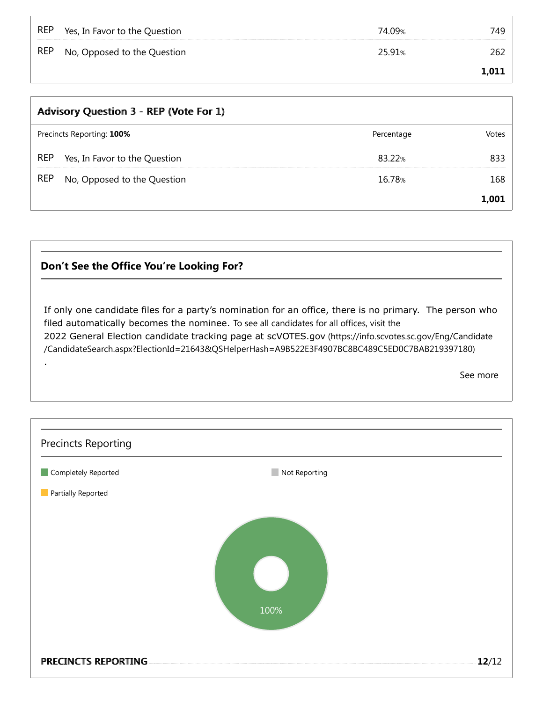| <b>REP</b> | Yes, In Favor to the Question | 74.09% | 749   |
|------------|-------------------------------|--------|-------|
| REP        | No, Opposed to the Question   | 25.91% | 262   |
|            |                               |        | 1,011 |

| <b>Advisory Question 3 - REP (Vote For 1)</b> |                               |            |       |  |
|-----------------------------------------------|-------------------------------|------------|-------|--|
|                                               | Precincts Reporting: 100%     | Percentage | Votes |  |
| <b>REP</b>                                    | Yes, In Favor to the Question | 83.22%     | 833   |  |
| <b>REP</b>                                    | No, Opposed to the Question   | 16.78%     | 168   |  |
|                                               |                               |            | 1,001 |  |

#### Don't See the Office You're Looking For?

If only one candidate files for a party's nomination for an office, there is no primary. The person who filed automatically becomes the nominee. To see all candidates for all offices, visit the 2022 General Election candidate tracking page at scVOTES.gov (https://info.scvotes.sc.gov/Eng/Candidate /CandidateSearch.aspx?ElectionId=21643&QSHelperHash=A9B522E3F4907BC8BC489C5ED0C7BAB219397180)

See more